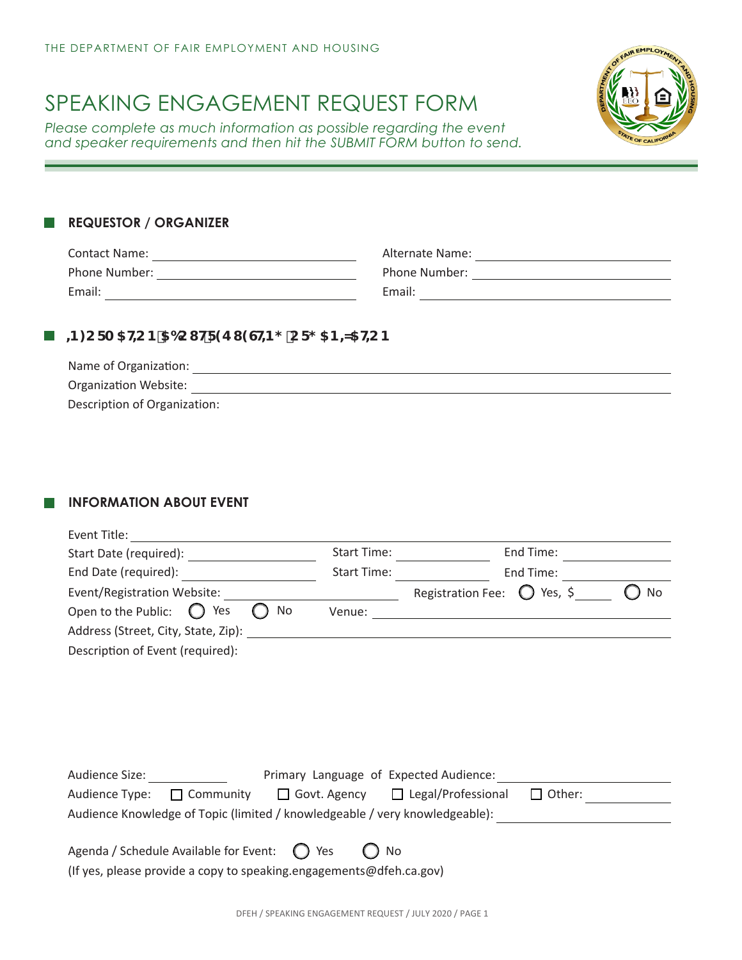# SPEAKING ENGAGEMENT REQUEST FORM

*Please complete as much information as possible regarding the event and speaker requirements and then hit the SUBMIT FORM button to send.*



#### **REQUESTOR / ORGANIZER** l a l

| <b>Contact Name:</b> | Alternate Name: |
|----------------------|-----------------|
| Phone Number:        | Phone Number:   |
| Email:               | Email:          |

### **B**  $\cdot$ B: CFA 5HCB 56CI HF9E 19GHB; CF; 5B + 15HCB

| Name of Organization:        |  |
|------------------------------|--|
| <b>Organization Website:</b> |  |
| Description of Organization: |  |

## **INFORMATION ABOUT EVENT**

|                                                                               | Start Time: |                                      | End Time:     |    |
|-------------------------------------------------------------------------------|-------------|--------------------------------------|---------------|----|
| End Date (required):                                                          | Start Time: | End Time:                            |               |    |
| Event/Registration Website:                                                   |             | Registration Fee: $\bigcirc$ Yes, \$ |               | No |
| Open to the Public: $\bigcirc$ Yes<br>No                                      |             |                                      |               |    |
|                                                                               |             |                                      |               |    |
| Description of Event (required):                                              |             |                                      |               |    |
|                                                                               |             |                                      |               |    |
|                                                                               |             |                                      |               |    |
|                                                                               |             |                                      |               |    |
|                                                                               |             |                                      |               |    |
|                                                                               |             |                                      |               |    |
| Audience Size: The Size of Expected Audience:                                 |             |                                      |               |    |
| Audience Type: $\Box$ Community $\Box$ Govt. Agency $\Box$ Legal/Professional |             |                                      | $\Box$ Other: |    |
| Audience Knowledge of Topic (limited / knowledgeable / very knowledgeable):   |             |                                      |               |    |
|                                                                               |             |                                      |               |    |
| Agenda / Schedule Available for Event: $\bigcirc$ Yes                         | No          |                                      |               |    |
| (If yes, please provide a copy to speaking.engagements@dfeh.ca.gov)           |             |                                      |               |    |
|                                                                               |             |                                      |               |    |